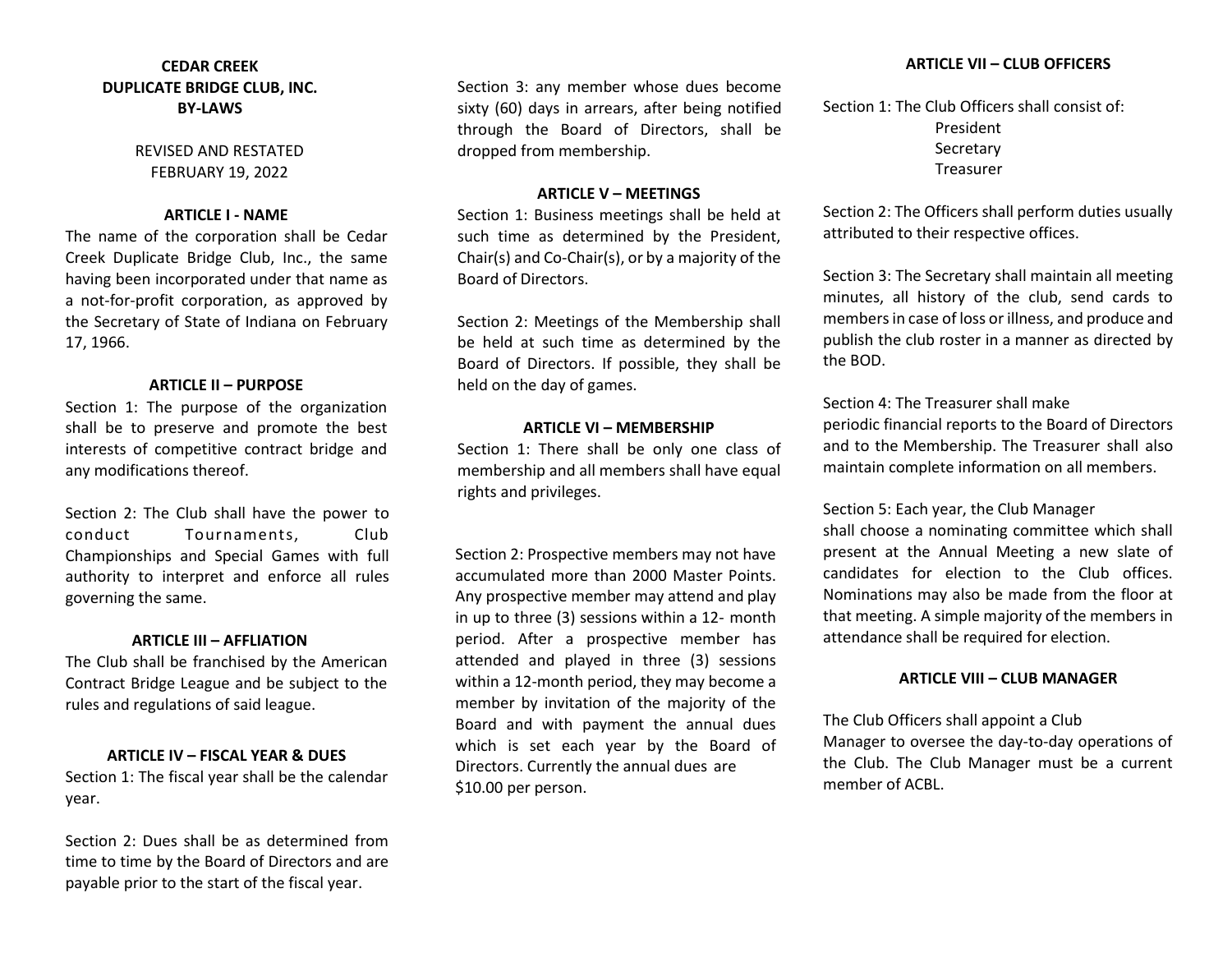# **CEDAR CREEK DUPLICATE BRIDGE CLUB, INC. BY‐LAWS**

REVISED AND RESTATED FEBRUARY 19, 2022

#### **ARTICLE I ‐ NAME**

The name of the corporation shall be Cedar Creek Duplicate Bridge Club, Inc., the same having been incorporated under that name as a not-for-profit corporation, as approved by the Secretary of State of Indiana on February 17, 1966.

#### **ARTICLE II – PURPOSE**

Section 1: The purpose of the organization shall be to preserve and promote the best interests of competitive contract bridge and any modifications thereof.

Section 2: The Club shall have the power to conduct Tournaments, Club Championships and Special Games with full authority to interpret and enforce all rules governing the same.

## **ARTICLE III – AFFLIATION**

The Club shall be franchised by the American Contract Bridge League and be subject to the rules and regulations of said league.

## **ARTICLE IV – FISCAL YEAR & DUES**

Section 1: The fiscal year shall be the calendar year.

Section 2: Dues shall be as determined from time to time by the Board of Directors and are payable prior to the start of the fiscal year.

Section 3: any member whose dues become sixty (60) days in arrears, after being notified through the Board of Directors, shall be dropped from membership.

#### **ARTICLE V – MEETINGS**

Section 1: Business meetings shall be held at such time as determined by the President, Chair(s) and Co‐Chair(s), or by a majority of the Board of Directors.

Section 2: Meetings of the Membership shall be held at such time as determined by the Board of Directors. If possible, they shall be held on the day of games.

## **ARTICLE VI – MEMBERSHIP**

Section 1: There shall be only one class of membership and all members shall have equal rights and privileges.

Section 2: Prospective members may not have accumulated more than 2000 Master Points. Any prospective member may attend and play in up to three (3) sessions within a 12- month period. After a prospective member has attended and played in three (3) sessions within a 12-month period, they may become a member by invitation of the majority of the Board and with payment the annual dues which is set each year by the Board of Directors. Currently the annual dues are \$10.00 per person.

Section 1: The Club Officers shall consist of: President Secretary Treasurer

Section 2: The Officers shall perform duties usually attributed to their respective offices.

Section 3: The Secretary shall maintain all meeting minutes, all history of the club, send cards to members in case of loss or illness, and produce and publish the club roster in a manner as directed by the BOD.

Section 4: The Treasurer shall make

periodic financial reports to the Board of Directors and to the Membership. The Treasurer shall also maintain complete information on all members.

Section 5: Each year, the Club Manager

shall choose a nominating committee which shall present at the Annual Meeting a new slate of candidates for election to the Club offices. Nominations may also be made from the floor at that meeting. A simple majority of the members in attendance shall be required for election.

## **ARTICLE VIII – CLUB MANAGER**

The Club Officers shall appoint a Club Manager to oversee the day‐to‐day operations of the Club. The Club Manager must be a current member of ACBL.